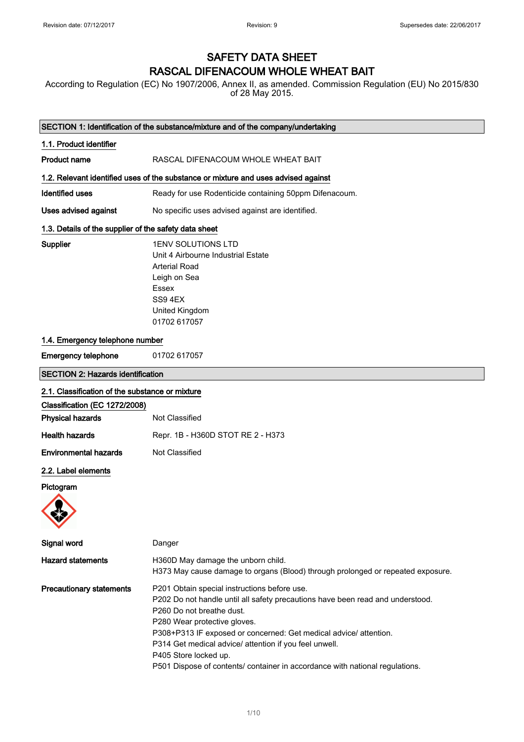# SAFETY DATA SHEET RASCAL DIFENACOUM WHOLE WHEAT BAIT

According to Regulation (EC) No 1907/2006, Annex II, as amended. Commission Regulation (EU) No 2015/830 of 28 May 2015.

|                                                       | SECTION 1: Identification of the substance/mixture and of the company/undertaking                                                                                                                                                                                                                                                                                                                                                   |
|-------------------------------------------------------|-------------------------------------------------------------------------------------------------------------------------------------------------------------------------------------------------------------------------------------------------------------------------------------------------------------------------------------------------------------------------------------------------------------------------------------|
| 1.1. Product identifier                               |                                                                                                                                                                                                                                                                                                                                                                                                                                     |
| <b>Product name</b>                                   | RASCAL DIFENACOUM WHOLE WHEAT BAIT                                                                                                                                                                                                                                                                                                                                                                                                  |
|                                                       | 1.2. Relevant identified uses of the substance or mixture and uses advised against                                                                                                                                                                                                                                                                                                                                                  |
| <b>Identified uses</b>                                | Ready for use Rodenticide containing 50ppm Difenacoum.                                                                                                                                                                                                                                                                                                                                                                              |
| <b>Uses advised against</b>                           | No specific uses advised against are identified.                                                                                                                                                                                                                                                                                                                                                                                    |
| 1.3. Details of the supplier of the safety data sheet |                                                                                                                                                                                                                                                                                                                                                                                                                                     |
| <b>Supplier</b>                                       | <b>1ENV SOLUTIONS LTD</b><br>Unit 4 Airbourne Industrial Estate<br>Arterial Road<br>Leigh on Sea<br>Essex<br>SS9 4EX<br>United Kingdom<br>01702 617057                                                                                                                                                                                                                                                                              |
| 1.4. Emergency telephone number                       |                                                                                                                                                                                                                                                                                                                                                                                                                                     |
| <b>Emergency telephone</b>                            | 01702 617057                                                                                                                                                                                                                                                                                                                                                                                                                        |
| <b>SECTION 2: Hazards identification</b>              |                                                                                                                                                                                                                                                                                                                                                                                                                                     |
| 2.1. Classification of the substance or mixture       |                                                                                                                                                                                                                                                                                                                                                                                                                                     |
| Classification (EC 1272/2008)                         |                                                                                                                                                                                                                                                                                                                                                                                                                                     |
| <b>Physical hazards</b>                               | Not Classified                                                                                                                                                                                                                                                                                                                                                                                                                      |
| <b>Health hazards</b>                                 | Repr. 1B - H360D STOT RE 2 - H373                                                                                                                                                                                                                                                                                                                                                                                                   |
| <b>Environmental hazards</b>                          | Not Classified                                                                                                                                                                                                                                                                                                                                                                                                                      |
| 2.2. Label elements                                   |                                                                                                                                                                                                                                                                                                                                                                                                                                     |
| Pictogram                                             |                                                                                                                                                                                                                                                                                                                                                                                                                                     |
| Signal word                                           | Danger                                                                                                                                                                                                                                                                                                                                                                                                                              |
| <b>Hazard statements</b>                              | H360D May damage the unborn child.<br>H373 May cause damage to organs (Blood) through prolonged or repeated exposure.                                                                                                                                                                                                                                                                                                               |
| <b>Precautionary statements</b>                       | P201 Obtain special instructions before use.<br>P202 Do not handle until all safety precautions have been read and understood.<br>P260 Do not breathe dust.<br>P280 Wear protective gloves.<br>P308+P313 IF exposed or concerned: Get medical advice/ attention.<br>P314 Get medical advice/ attention if you feel unwell.<br>P405 Store locked up.<br>P501 Dispose of contents/ container in accordance with national regulations. |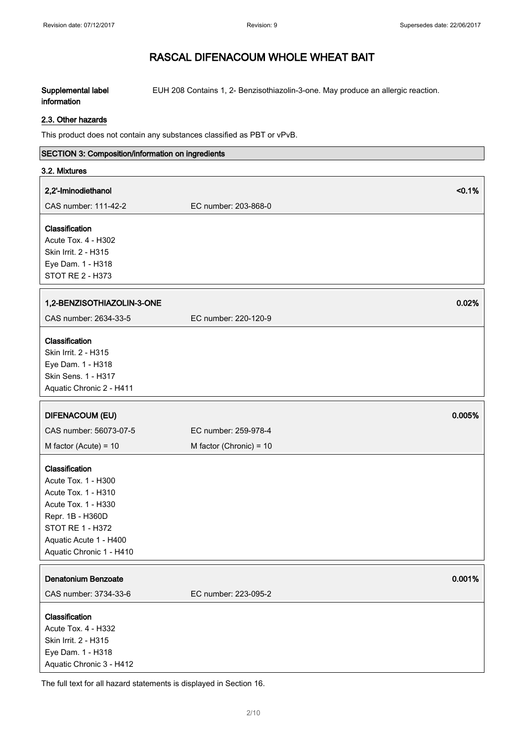#### Supplemental label information EUH 208 Contains 1, 2- Benzisothiazolin-3-one. May produce an allergic reaction.

#### 2.3. Other hazards

This product does not contain any substances classified as PBT or vPvB.

#### SECTION 3: Composition/information on ingredients

| 3.2. Mixtures                                                                                                                                                                     |                                |
|-----------------------------------------------------------------------------------------------------------------------------------------------------------------------------------|--------------------------------|
| 2,2'-Iminodiethanol                                                                                                                                                               | < 0.1%                         |
| CAS number: 111-42-2                                                                                                                                                              | EC number: 203-868-0           |
| Classification<br>Acute Tox. 4 - H302<br>Skin Irrit. 2 - H315<br>Eye Dam. 1 - H318<br>STOT RE 2 - H373                                                                            |                                |
| 1,2-BENZISOTHIAZOLIN-3-ONE                                                                                                                                                        | 0.02%                          |
| CAS number: 2634-33-5                                                                                                                                                             | EC number: 220-120-9           |
| Classification<br>Skin Irrit. 2 - H315<br>Eye Dam. 1 - H318<br>Skin Sens. 1 - H317<br>Aquatic Chronic 2 - H411                                                                    |                                |
| <b>DIFENACOUM (EU)</b>                                                                                                                                                            | 0.005%                         |
| CAS number: 56073-07-5                                                                                                                                                            | EC number: 259-978-4           |
| M factor (Acute) = $10$                                                                                                                                                           | M factor (Chronic) = $10$      |
| Classification<br>Acute Tox. 1 - H300<br>Acute Tox. 1 - H310<br>Acute Tox. 1 - H330<br>Repr. 1B - H360D<br>STOT RE 1 - H372<br>Aquatic Acute 1 - H400<br>Aquatic Chronic 1 - H410 |                                |
| Denatonium Benzoate<br>CAS number: 3734-33-6                                                                                                                                      | 0.001%<br>EC number: 223-095-2 |
| Classification<br>Acute Tox. 4 - H332<br>Skin Irrit. 2 - H315<br>Eye Dam. 1 - H318<br>Aquatic Chronic 3 - H412                                                                    |                                |

The full text for all hazard statements is displayed in Section 16.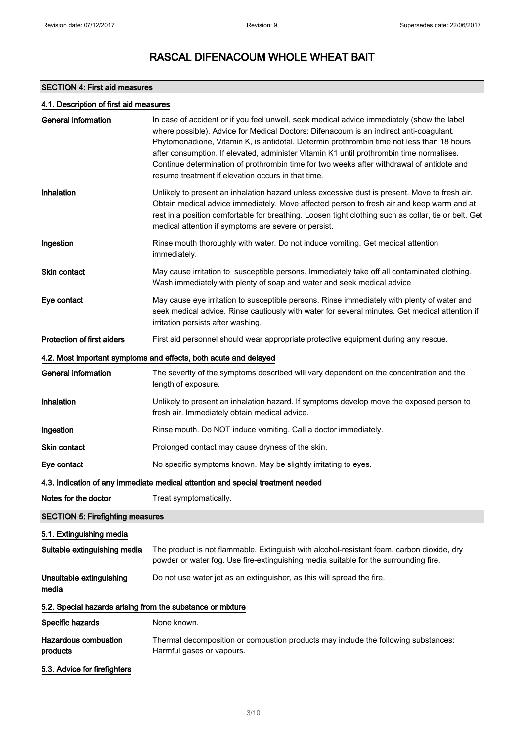#### SECTION 4: First aid measures

#### 4.1. Description of first aid measures

| <b>General information</b>                                 | In case of accident or if you feel unwell, seek medical advice immediately (show the label<br>where possible). Advice for Medical Doctors: Difenacoum is an indirect anti-coagulant.<br>Phytomenadione, Vitamin K, is antidotal. Determin prothrombin time not less than 18 hours<br>after consumption. If elevated, administer Vitamin K1 until prothrombin time normalises.<br>Continue determination of prothrombin time for two weeks after withdrawal of antidote and<br>resume treatment if elevation occurs in that time. |  |
|------------------------------------------------------------|----------------------------------------------------------------------------------------------------------------------------------------------------------------------------------------------------------------------------------------------------------------------------------------------------------------------------------------------------------------------------------------------------------------------------------------------------------------------------------------------------------------------------------|--|
| Inhalation                                                 | Unlikely to present an inhalation hazard unless excessive dust is present. Move to fresh air.<br>Obtain medical advice immediately. Move affected person to fresh air and keep warm and at<br>rest in a position comfortable for breathing. Loosen tight clothing such as collar, tie or belt. Get<br>medical attention if symptoms are severe or persist.                                                                                                                                                                       |  |
| Ingestion                                                  | Rinse mouth thoroughly with water. Do not induce vomiting. Get medical attention<br>immediately.                                                                                                                                                                                                                                                                                                                                                                                                                                 |  |
| Skin contact                                               | May cause irritation to susceptible persons. Immediately take off all contaminated clothing.<br>Wash immediately with plenty of soap and water and seek medical advice                                                                                                                                                                                                                                                                                                                                                           |  |
| Eye contact                                                | May cause eye irritation to susceptible persons. Rinse immediately with plenty of water and<br>seek medical advice. Rinse cautiously with water for several minutes. Get medical attention if<br>irritation persists after washing.                                                                                                                                                                                                                                                                                              |  |
| <b>Protection of first aiders</b>                          | First aid personnel should wear appropriate protective equipment during any rescue.                                                                                                                                                                                                                                                                                                                                                                                                                                              |  |
|                                                            | 4.2. Most important symptoms and effects, both acute and delayed                                                                                                                                                                                                                                                                                                                                                                                                                                                                 |  |
| <b>General information</b>                                 | The severity of the symptoms described will vary dependent on the concentration and the<br>length of exposure.                                                                                                                                                                                                                                                                                                                                                                                                                   |  |
| Inhalation                                                 | Unlikely to present an inhalation hazard. If symptoms develop move the exposed person to<br>fresh air. Immediately obtain medical advice.                                                                                                                                                                                                                                                                                                                                                                                        |  |
| Ingestion                                                  | Rinse mouth. Do NOT induce vomiting. Call a doctor immediately.                                                                                                                                                                                                                                                                                                                                                                                                                                                                  |  |
| <b>Skin contact</b>                                        | Prolonged contact may cause dryness of the skin.                                                                                                                                                                                                                                                                                                                                                                                                                                                                                 |  |
| Eye contact                                                | No specific symptoms known. May be slightly irritating to eyes.                                                                                                                                                                                                                                                                                                                                                                                                                                                                  |  |
|                                                            | 4.3. Indication of any immediate medical attention and special treatment needed                                                                                                                                                                                                                                                                                                                                                                                                                                                  |  |
| Notes for the doctor                                       | Treat symptomatically.                                                                                                                                                                                                                                                                                                                                                                                                                                                                                                           |  |
| <b>SECTION 5: Firefighting measures</b>                    |                                                                                                                                                                                                                                                                                                                                                                                                                                                                                                                                  |  |
| 5.1. Extinguishing media                                   |                                                                                                                                                                                                                                                                                                                                                                                                                                                                                                                                  |  |
| Suitable extinguishing media                               | The product is not flammable. Extinguish with alcohol-resistant foam, carbon dioxide, dry<br>powder or water fog. Use fire-extinguishing media suitable for the surrounding fire.                                                                                                                                                                                                                                                                                                                                                |  |
| Unsuitable extinguishing<br>media                          | Do not use water jet as an extinguisher, as this will spread the fire.                                                                                                                                                                                                                                                                                                                                                                                                                                                           |  |
| 5.2. Special hazards arising from the substance or mixture |                                                                                                                                                                                                                                                                                                                                                                                                                                                                                                                                  |  |
| Specific hazards                                           | None known.                                                                                                                                                                                                                                                                                                                                                                                                                                                                                                                      |  |
| <b>Hazardous combustion</b><br>products                    | Thermal decomposition or combustion products may include the following substances:<br>Harmful gases or vapours.                                                                                                                                                                                                                                                                                                                                                                                                                  |  |
| 5.3. Advice for firefighters                               |                                                                                                                                                                                                                                                                                                                                                                                                                                                                                                                                  |  |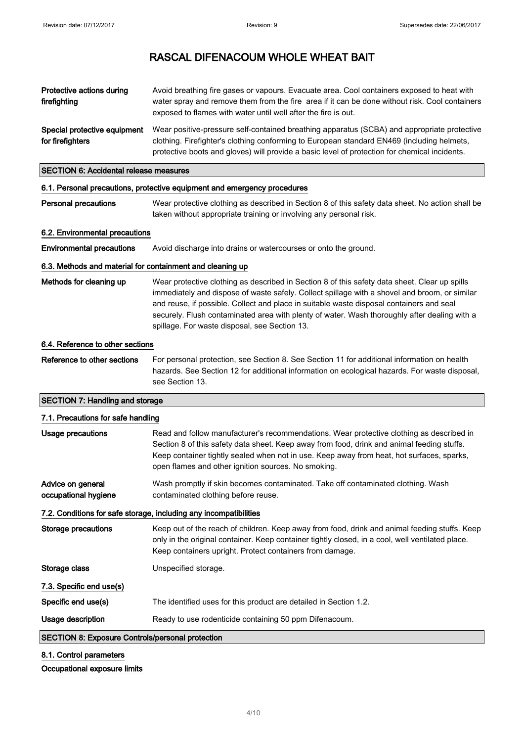| Protective actions during<br>firefighting                 | Avoid breathing fire gases or vapours. Evacuate area. Cool containers exposed to heat with<br>water spray and remove them from the fire area if it can be done without risk. Cool containers<br>exposed to flames with water until well after the fire is out.                                                                                                                                                                              |
|-----------------------------------------------------------|---------------------------------------------------------------------------------------------------------------------------------------------------------------------------------------------------------------------------------------------------------------------------------------------------------------------------------------------------------------------------------------------------------------------------------------------|
| Special protective equipment<br>for firefighters          | Wear positive-pressure self-contained breathing apparatus (SCBA) and appropriate protective<br>clothing. Firefighter's clothing conforming to European standard EN469 (including helmets,<br>protective boots and gloves) will provide a basic level of protection for chemical incidents.                                                                                                                                                  |
| <b>SECTION 6: Accidental release measures</b>             |                                                                                                                                                                                                                                                                                                                                                                                                                                             |
|                                                           | 6.1. Personal precautions, protective equipment and emergency procedures                                                                                                                                                                                                                                                                                                                                                                    |
| <b>Personal precautions</b>                               | Wear protective clothing as described in Section 8 of this safety data sheet. No action shall be<br>taken without appropriate training or involving any personal risk.                                                                                                                                                                                                                                                                      |
| 6.2. Environmental precautions                            |                                                                                                                                                                                                                                                                                                                                                                                                                                             |
| <b>Environmental precautions</b>                          | Avoid discharge into drains or watercourses or onto the ground.                                                                                                                                                                                                                                                                                                                                                                             |
| 6.3. Methods and material for containment and cleaning up |                                                                                                                                                                                                                                                                                                                                                                                                                                             |
| Methods for cleaning up                                   | Wear protective clothing as described in Section 8 of this safety data sheet. Clear up spills<br>immediately and dispose of waste safely. Collect spillage with a shovel and broom, or similar<br>and reuse, if possible. Collect and place in suitable waste disposal containers and seal<br>securely. Flush contaminated area with plenty of water. Wash thoroughly after dealing with a<br>spillage. For waste disposal, see Section 13. |
| 6.4. Reference to other sections                          |                                                                                                                                                                                                                                                                                                                                                                                                                                             |
| Reference to other sections                               | For personal protection, see Section 8. See Section 11 for additional information on health<br>hazards. See Section 12 for additional information on ecological hazards. For waste disposal,<br>see Section 13.                                                                                                                                                                                                                             |
| <b>SECTION 7: Handling and storage</b>                    |                                                                                                                                                                                                                                                                                                                                                                                                                                             |
| 7.1. Precautions for safe handling                        |                                                                                                                                                                                                                                                                                                                                                                                                                                             |
| Usage precautions                                         | Read and follow manufacturer's recommendations. Wear protective clothing as described in<br>Section 8 of this safety data sheet. Keep away from food, drink and animal feeding stuffs.<br>Keep container tightly sealed when not in use. Keep away from heat, hot surfaces, sparks,<br>open flames and other ignition sources. No smoking.                                                                                                  |
| Advice on general<br>occupational hygiene                 | Wash promptly if skin becomes contaminated. Take off contaminated clothing. Wash<br>contaminated clothing before reuse.                                                                                                                                                                                                                                                                                                                     |
|                                                           | 7.2. Conditions for safe storage, including any incompatibilities                                                                                                                                                                                                                                                                                                                                                                           |
| <b>Storage precautions</b>                                | Keep out of the reach of children. Keep away from food, drink and animal feeding stuffs. Keep<br>only in the original container. Keep container tightly closed, in a cool, well ventilated place.<br>Keep containers upright. Protect containers from damage.                                                                                                                                                                               |
| Storage class                                             | Unspecified storage.                                                                                                                                                                                                                                                                                                                                                                                                                        |
| 7.3. Specific end use(s)                                  |                                                                                                                                                                                                                                                                                                                                                                                                                                             |
| Specific end use(s)                                       | The identified uses for this product are detailed in Section 1.2.                                                                                                                                                                                                                                                                                                                                                                           |
| Usage description                                         | Ready to use rodenticide containing 50 ppm Difenacoum.                                                                                                                                                                                                                                                                                                                                                                                      |
| <b>SECTION 8: Exposure Controls/personal protection</b>   |                                                                                                                                                                                                                                                                                                                                                                                                                                             |

### 8.1. Control parameters

#### Occupational exposure limits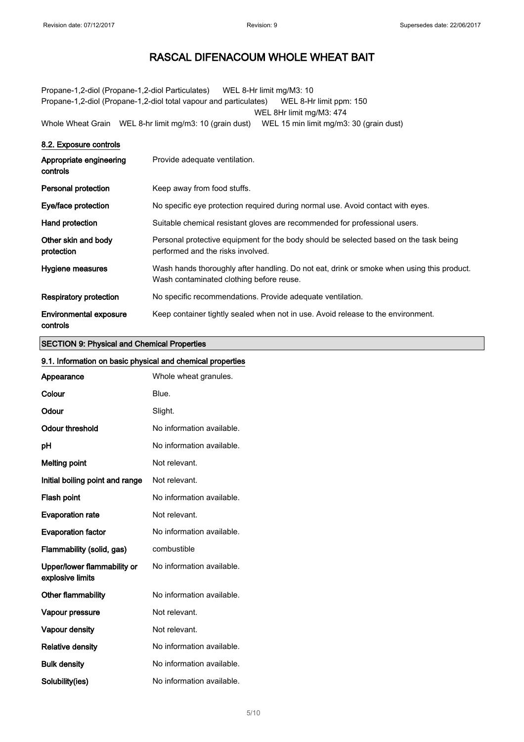|                                                         | Propane-1,2-diol (Propane-1,2-diol Particulates) WEL 8-Hr limit mg/M3: 10<br>Propane-1,2-diol (Propane-1,2-diol total vapour and particulates) WEL 8-Hr limit ppm: 150<br>WEL 8Hr limit mg/M3: 474 |
|---------------------------------------------------------|----------------------------------------------------------------------------------------------------------------------------------------------------------------------------------------------------|
| Whole Wheat Grain WEL 8-hr limit mg/m3: 10 (grain dust) | WEL 15 min limit mg/m3: 30 (grain dust)                                                                                                                                                            |
| 8.2. Exposure controls                                  |                                                                                                                                                                                                    |
| Appropriate engineering<br>controls                     | Provide adequate ventilation.                                                                                                                                                                      |
| Personal protection                                     | Keep away from food stuffs.                                                                                                                                                                        |
| Eye/face protection                                     | No specific eye protection required during normal use. Avoid contact with eyes.                                                                                                                    |
| Hand protection                                         | Suitable chemical resistant gloves are recommended for professional users.                                                                                                                         |
| Other skin and body<br>protection                       | Personal protective equipment for the body should be selected based on the task being<br>performed and the risks involved.                                                                         |
| Hygiene measures                                        | Wash hands thoroughly after handling. Do not eat, drink or smoke when using this product.<br>Wash contaminated clothing before reuse.                                                              |
| <b>Respiratory protection</b>                           | No specific recommendations. Provide adequate ventilation.                                                                                                                                         |
| <b>Environmental exposure</b><br>controls               | Keep container tightly sealed when not in use. Avoid release to the environment.                                                                                                                   |

### SECTION 9: Physical and Chemical Properties

#### 9.1. Information on basic physical and chemical properties

| Appearance                                      | Whole wheat granules.     |
|-------------------------------------------------|---------------------------|
| Colour                                          | Blue.                     |
| Odour                                           | Slight.                   |
| <b>Odour threshold</b>                          | No information available. |
| pH                                              | No information available. |
| <b>Melting point</b>                            | Not relevant.             |
| Initial boiling point and range                 | Not relevant.             |
| Flash point                                     | No information available. |
| <b>Evaporation rate</b>                         | Not relevant.             |
| <b>Evaporation factor</b>                       | No information available. |
| Flammability (solid, gas)                       | combustible               |
| Upper/lower flammability or<br>explosive limits | No information available. |
| Other flammability                              | No information available. |
| Vapour pressure                                 | Not relevant.             |
| Vapour density                                  | Not relevant.             |
| <b>Relative density</b>                         | No information available. |
| <b>Bulk density</b>                             | No information available. |
| Solubility(ies)                                 | No information available. |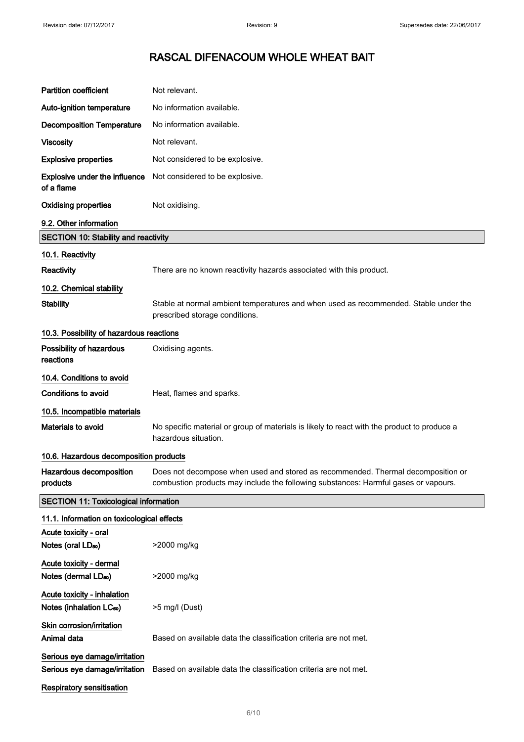| <b>Partition coefficient</b>                                        | Not relevant.                                                                                                                                                           |
|---------------------------------------------------------------------|-------------------------------------------------------------------------------------------------------------------------------------------------------------------------|
| Auto-ignition temperature                                           | No information available.                                                                                                                                               |
| <b>Decomposition Temperature</b>                                    | No information available.                                                                                                                                               |
| <b>Viscosity</b>                                                    | Not relevant.                                                                                                                                                           |
| <b>Explosive properties</b>                                         | Not considered to be explosive.                                                                                                                                         |
| Explosive under the influence<br>of a flame                         | Not considered to be explosive.                                                                                                                                         |
| <b>Oxidising properties</b>                                         | Not oxidising.                                                                                                                                                          |
| 9.2. Other information                                              |                                                                                                                                                                         |
| <b>SECTION 10: Stability and reactivity</b>                         |                                                                                                                                                                         |
| 10.1. Reactivity                                                    |                                                                                                                                                                         |
| Reactivity                                                          | There are no known reactivity hazards associated with this product.                                                                                                     |
| 10.2. Chemical stability                                            |                                                                                                                                                                         |
| <b>Stability</b>                                                    | Stable at normal ambient temperatures and when used as recommended. Stable under the<br>prescribed storage conditions.                                                  |
| 10.3. Possibility of hazardous reactions                            |                                                                                                                                                                         |
| Possibility of hazardous<br>reactions                               | Oxidising agents.                                                                                                                                                       |
| 10.4. Conditions to avoid                                           |                                                                                                                                                                         |
| <b>Conditions to avoid</b>                                          | Heat, flames and sparks.                                                                                                                                                |
| 10.5. Incompatible materials                                        |                                                                                                                                                                         |
| Materials to avoid                                                  | No specific material or group of materials is likely to react with the product to produce a<br>hazardous situation.                                                     |
| 10.6. Hazardous decomposition products                              |                                                                                                                                                                         |
| Hazardous decomposition<br>products                                 | Does not decompose when used and stored as recommended. Thermal decomposition or<br>combustion products may include the following substances: Harmful gases or vapours. |
| <b>SECTION 11: Toxicological information</b>                        |                                                                                                                                                                         |
| 11.1. Information on toxicological effects                          |                                                                                                                                                                         |
| Acute toxicity - oral<br>Notes (oral LD <sub>50</sub> )             | >2000 mg/kg                                                                                                                                                             |
| Acute toxicity - dermal<br>Notes (dermal LD <sub>50</sub> )         | >2000 mg/kg                                                                                                                                                             |
| Acute toxicity - inhalation<br>Notes (inhalation LC <sub>50</sub> ) | $>5$ mg/l (Dust)                                                                                                                                                        |
| Skin corrosion/irritation<br>Animal data                            | Based on available data the classification criteria are not met.                                                                                                        |
| Serious eye damage/irritation<br>Serious eye damage/irritation      | Based on available data the classification criteria are not met.                                                                                                        |
| <b>Respiratory sensitisation</b>                                    |                                                                                                                                                                         |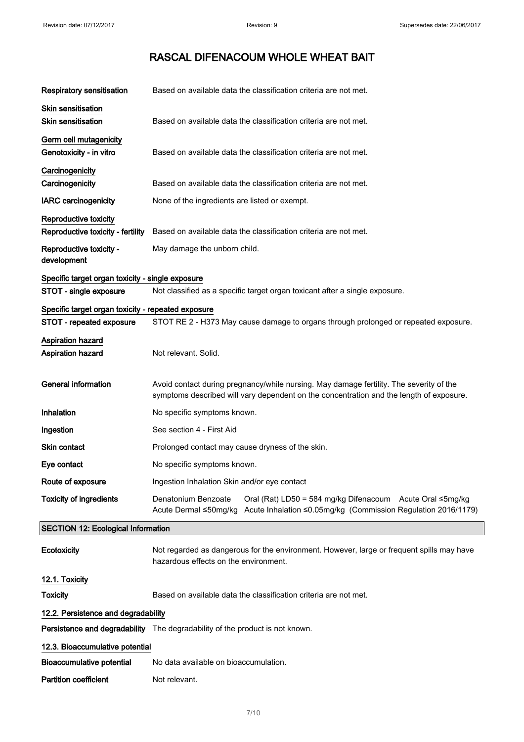| Respiratory sensitisation                                  | Based on available data the classification criteria are not met.                                                                                                                   |
|------------------------------------------------------------|------------------------------------------------------------------------------------------------------------------------------------------------------------------------------------|
| Skin sensitisation<br><b>Skin sensitisation</b>            | Based on available data the classification criteria are not met.                                                                                                                   |
| Germ cell mutagenicity<br>Genotoxicity - in vitro          | Based on available data the classification criteria are not met.                                                                                                                   |
| Carcinogenicity<br>Carcinogenicity                         | Based on available data the classification criteria are not met.                                                                                                                   |
| <b>IARC</b> carcinogenicity                                | None of the ingredients are listed or exempt.                                                                                                                                      |
| Reproductive toxicity<br>Reproductive toxicity - fertility | Based on available data the classification criteria are not met.                                                                                                                   |
| Reproductive toxicity -<br>development                     | May damage the unborn child.                                                                                                                                                       |
| Specific target organ toxicity - single exposure           |                                                                                                                                                                                    |
| STOT - single exposure                                     | Not classified as a specific target organ toxicant after a single exposure.                                                                                                        |
| Specific target organ toxicity - repeated exposure         |                                                                                                                                                                                    |
| STOT - repeated exposure                                   | STOT RE 2 - H373 May cause damage to organs through prolonged or repeated exposure.                                                                                                |
| <b>Aspiration hazard</b><br>Aspiration hazard              | Not relevant. Solid.                                                                                                                                                               |
| <b>General information</b>                                 | Avoid contact during pregnancy/while nursing. May damage fertility. The severity of the<br>symptoms described will vary dependent on the concentration and the length of exposure. |
| Inhalation                                                 | No specific symptoms known.                                                                                                                                                        |
| Ingestion                                                  | See section 4 - First Aid                                                                                                                                                          |
| <b>Skin contact</b>                                        | Prolonged contact may cause dryness of the skin.                                                                                                                                   |
| Eye contact                                                | No specific symptoms known.                                                                                                                                                        |
| Route of exposure                                          | Ingestion Inhalation Skin and/or eye contact                                                                                                                                       |
| <b>Toxicity of ingredients</b>                             | Denatonium Benzoate<br>Oral (Rat) LD50 = 584 mg/kg Difenacoum Acute Oral ≤5mg/kg<br>Acute Dermal ≤50mg/kg Acute Inhalation ≤0.05mg/kg (Commission Regulation 2016/1179)            |
| <b>SECTION 12: Ecological Information</b>                  |                                                                                                                                                                                    |
| Ecotoxicity                                                | Not regarded as dangerous for the environment. However, large or frequent spills may have<br>hazardous effects on the environment.                                                 |
| 12.1. Toxicity                                             |                                                                                                                                                                                    |
| <b>Toxicity</b>                                            | Based on available data the classification criteria are not met.                                                                                                                   |
| 12.2. Persistence and degradability                        |                                                                                                                                                                                    |
|                                                            | Persistence and degradability The degradability of the product is not known.                                                                                                       |
| 12.3. Bioaccumulative potential                            |                                                                                                                                                                                    |
| <b>Bioaccumulative potential</b>                           | No data available on bioaccumulation.                                                                                                                                              |
| <b>Partition coefficient</b>                               | Not relevant.                                                                                                                                                                      |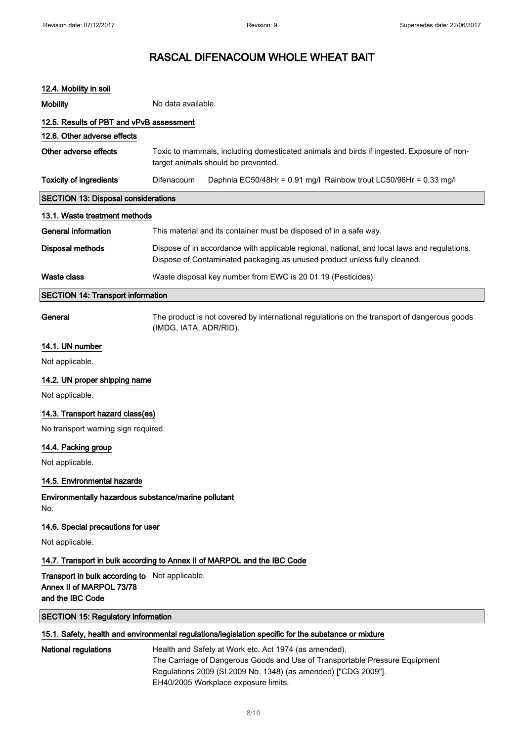#### 12.4. Mobility in soil

| Mobility                                   | No data available.                                                                                                                                                        |  |
|--------------------------------------------|---------------------------------------------------------------------------------------------------------------------------------------------------------------------------|--|
| 12.5. Results of PBT and vPvB assessment   |                                                                                                                                                                           |  |
| 12.6. Other adverse effects                |                                                                                                                                                                           |  |
| Other adverse effects                      | Toxic to mammals, including domesticated animals and birds if ingested. Exposure of non-<br>target animals should be prevented.                                           |  |
| Toxicity of ingredients                    | Daphnia EC50/48Hr = $0.91$ mg/l Rainbow trout LC50/96Hr = $0.33$ mg/l<br><b>Difenacoum</b>                                                                                |  |
| <b>SECTION 13: Disposal considerations</b> |                                                                                                                                                                           |  |
| 13.1. Waste treatment methods              |                                                                                                                                                                           |  |
| General information                        | This material and its container must be disposed of in a safe way.                                                                                                        |  |
| Disposal methods                           | Dispose of in accordance with applicable regional, national, and local laws and regulations.<br>Dispose of Contaminated packaging as unused product unless fully cleaned. |  |
| Waste class                                | Waste disposal key number from EWC is 20 01 19 (Pesticides)                                                                                                               |  |
| <b>SECTION 14: Transport information</b>   |                                                                                                                                                                           |  |

 $\overline{\phantom{a}}$ 

General The product is not covered by international regulations on the transport of dangerous goods (IMDG, IATA, ADR/RID).

#### 14.1. UN number

Not applicable.

#### 14.2. UN proper shipping name

Not applicable.

#### 14.3. Transport hazard class(es)

No transport warning sign required.

#### 14.4. Packing group

Not applicable.

#### 14.5. Environmental hazards

Environmentally hazardous substance/marine pollutant No.

#### 14.6. Special precautions for user

Not applicable.

#### 14.7. Transport in bulk according to Annex II of MARPOL and the IBC Code

Transport in bulk according to Not applicable. Annex II of MARPOL 73/78 and the IBC Code

SECTION 15: Regulatory information

#### 15.1. Safety, health and environmental regulations/legislation specific for the substance or mixture

| National regulations | Health and Safety at Work etc. Act 1974 (as amended).                       |
|----------------------|-----------------------------------------------------------------------------|
|                      | The Carriage of Dangerous Goods and Use of Transportable Pressure Equipment |
|                      | Regulations 2009 (SI 2009 No. 1348) (as amended) ["CDG 2009"].              |
|                      | EH40/2005 Workplace exposure limits.                                        |
|                      |                                                                             |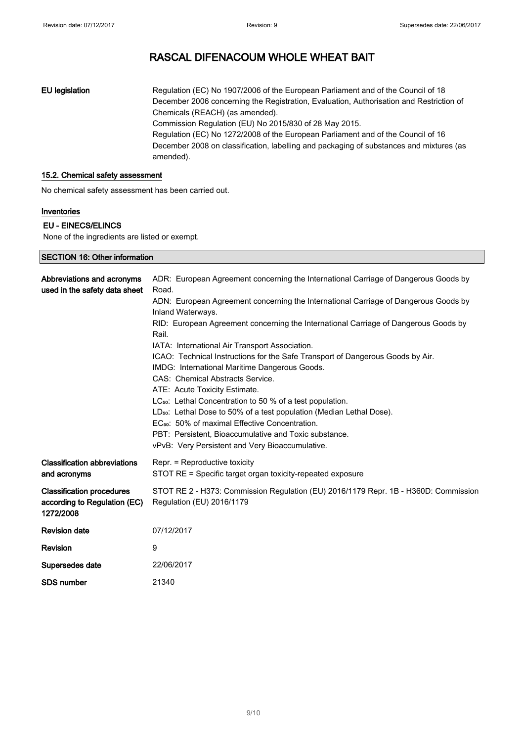EU legislation Regulation (EC) No 1907/2006 of the European Parliament and of the Council of 18 December 2006 concerning the Registration, Evaluation, Authorisation and Restriction of Chemicals (REACH) (as amended). Commission Regulation (EU) No 2015/830 of 28 May 2015. Regulation (EC) No 1272/2008 of the European Parliament and of the Council of 16 December 2008 on classification, labelling and packaging of substances and mixtures (as amended).

#### 15.2. Chemical safety assessment

No chemical safety assessment has been carried out.

#### Inventories

#### EU - EINECS/ELINCS

SECTION 16: Other information

None of the ingredients are listed or exempt.

| Abbreviations and acronyms<br>used in the safety data sheet                   | ADR: European Agreement concerning the International Carriage of Dangerous Goods by<br>Road.                        |
|-------------------------------------------------------------------------------|---------------------------------------------------------------------------------------------------------------------|
|                                                                               | ADN: European Agreement concerning the International Carriage of Dangerous Goods by<br>Inland Waterways.            |
|                                                                               | RID: European Agreement concerning the International Carriage of Dangerous Goods by<br>Rail.                        |
|                                                                               | IATA: International Air Transport Association.                                                                      |
|                                                                               | ICAO: Technical Instructions for the Safe Transport of Dangerous Goods by Air.                                      |
|                                                                               | IMDG: International Maritime Dangerous Goods.                                                                       |
|                                                                               | CAS: Chemical Abstracts Service.                                                                                    |
|                                                                               | ATE: Acute Toxicity Estimate.                                                                                       |
|                                                                               | LC <sub>50</sub> : Lethal Concentration to 50 % of a test population.                                               |
|                                                                               | LD <sub>50</sub> : Lethal Dose to 50% of a test population (Median Lethal Dose).                                    |
|                                                                               | EC <sub>50</sub> : 50% of maximal Effective Concentration.<br>PBT: Persistent, Bioaccumulative and Toxic substance. |
|                                                                               | vPvB: Very Persistent and Very Bioaccumulative.                                                                     |
| <b>Classification abbreviations</b>                                           | Repr. = Reproductive toxicity                                                                                       |
| and acronyms                                                                  | STOT RE = Specific target organ toxicity-repeated exposure                                                          |
| <b>Classification procedures</b><br>according to Regulation (EC)<br>1272/2008 | STOT RE 2 - H373: Commission Regulation (EU) 2016/1179 Repr. 1B - H360D: Commission<br>Regulation (EU) 2016/1179    |
| <b>Revision date</b>                                                          | 07/12/2017                                                                                                          |
| <b>Revision</b>                                                               | 9                                                                                                                   |
| Supersedes date                                                               | 22/06/2017                                                                                                          |
| <b>SDS number</b>                                                             | 21340                                                                                                               |